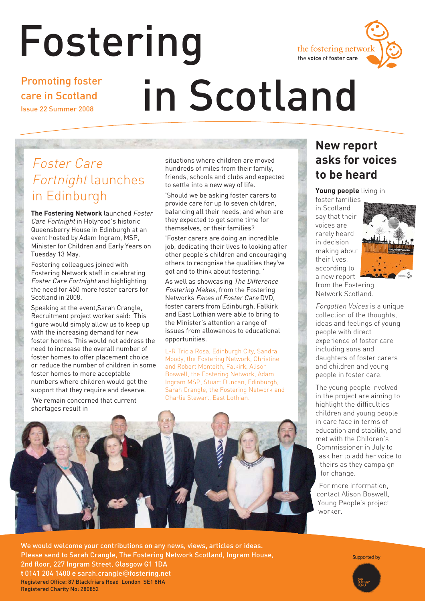# Fostering



Promoting foster care in Scotland Issue 22 Summer 2008

# in Scotland

## Foster Care Fortnight launches in Edinburgh

**The Fostering Network** launched Foster Care Fortnight in Holyrood's historic Queensberry House in Edinburgh at an event hosted by Adam Ingram, MSP, Minister for Children and Early Years on Tuesday 13 May.

Fostering colleagues joined with Fostering Network staff in celebrating Foster Care Fortnight and highlighting the need for 450 more foster carers for Scotland in 2008.

Speaking at the event,Sarah Crangle, Recruitment project worker said: 'This figure would simply allow us to keep up with the increasing demand for new foster homes. This would not address the need to increase the overall number of foster homes to offer placement choice or reduce the number of children in some foster homes to more acceptable numbers where children would get the support that they require and deserve.

'We remain concerned that current shortages result in

situations where children are moved hundreds of miles from their family, friends, schools and clubs and expected to settle into a new way of life.

'Should we be asking foster carers to provide care for up to seven children, balancing all their needs, and when are they expected to get some time for themselves, or their families?

'Foster carers are doing an incredible job, dedicating their lives to looking after other people's children and encouraging others to recognise the qualities they've got and to think about fostering. '

As well as showcasing The Difference Fostering Makes, from the Fostering Networks Faces of Foster Care DVD, foster carers from Edinburgh, Falkirk and East Lothian were able to bring to the Minister's attention a range of issues from allowances to educational opportunities.

L-R Tricia Rosa, Edinburgh City, Sandra Moody, the Fostering Network, Christine and Robert Monteith, Falkirk, Alison Boswell, the Fostering Network, Adam Ingram MSP, Stuart Duncan, Edinburgh, Sarah Crangle, the Fostering Network and Charlie Stewart, East Lothian.



### **New report asks for voices to be heard**

**Young people** living in

foster families in Scotland say that their voices are rarely heard in decision making about their lives, according to a new report



from the Fostering Network Scotland.

Forgotten Voices is a unique collection of the thoughts, ideas and feelings of young people with direct experience of foster care including sons and daughters of foster carers and children and young people in foster care.

The young people involved in the project are aiming to highlight the difficulties children and young people in care face in terms of education and stability, and met with the Children's Commissioner in July to ask her to add her voice to theirs as they campaign for change.

For more information, contact Alison Boswell, Young People's project worker.

We would welcome your contributions on any news, views, articles or ideas. Please send to Sarah Crangle, The Fostering Network Scotland, Ingram House, 2nd floor, 227 Ingram Street, Glasgow G1 1DA **t** 0141 204 1400 **e** sarah.crangle@fostering.net Registered Office: 87 Blackfriars Road London SE1 8HA Registered Charity No: 280852

Supported by

Fostering in Scotland **1**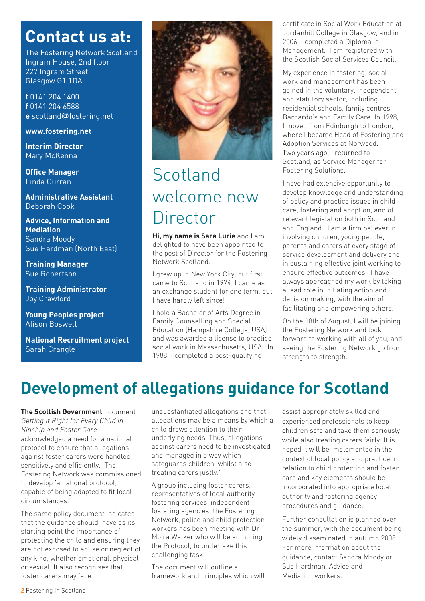## **Contact us at:**

The Fostering Network Scotland Ingram House, 2nd floor 227 Ingram Street Glasgow G1 1DA

**t** 0141 204 1400 **f** 0141 204 6588 **e** scotland@fostering.net

#### **www.fostering.net**

**Interim Director** Mary McKenna

**Office Manager** Linda Curran

**Administrative Assistant**  Deborah Cook

**Advice, Information and Mediation**  Sandra Moody Sue Hardman (North East)

**Training Manager** Sue Robertson

**Training Administrator**  Joy Crawford

**Young Peoples project** Alison Boswell

**National Recruitment project** Sarah Crangle



## Scotland welcome new Director

**Hi, my name is Sara Lurie** and I am delighted to have been appointed to the post of Director for the Fostering Network Scotland.

I grew up in New York City, but first came to Scotland in 1974. I came as an exchange student for one term, but I have hardly left since!

I hold a Bachelor of Arts Degree in Family Counselling and Special Education (Hampshire College, USA) and was awarded a license to practice social work in Massachusetts, USA. In 1988, I completed a post-qualifying

certificate in Social Work Education at Jordanhill College in Glasgow, and in 2006, I completed a Diploma in Management. I am registered with the Scottish Social Services Council.

My experience in fostering, social work and management has been gained in the voluntary, independent and statutory sector, including residential schools, family centres, Barnardo's and Family Care. In 1998, I moved from Edinburgh to London, where I became Head of Fostering and Adoption Services at Norwood. Two years ago, I returned to Scotland, as Service Manager for Fostering Solutions.

I have had extensive opportunity to develop knowledge and understanding of policy and practice issues in child care, fostering and adoption, and of relevant legislation both in Scotland and England. I am a firm believer in involving children, young people, parents and carers at every stage of service development and delivery and in sustaining effective joint working to ensure effective outcomes. I have always approached my work by taking a lead role in initiating action and decision making, with the aim of facilitating and empowering others.

On the 18th of August, I will be joining the Fostering Network and look forward to working with all of you, and seeing the Fostering Network go from strength to strength.

## **Development of allegations guidance for Scotland**

**The Scottish Government** document Getting it Right for Every Child in Kinship and Foster Care acknowledged a need for a national protocol to ensure that allegations against foster carers were handled sensitively and efficiently. The Fostering Network was commissioned to develop 'a national protocol, capable of being adapted to fit local circumstances.'

The same policy document indicated that the guidance should 'have as its starting point the importance of protecting the child and ensuring they are not exposed to abuse or neglect of any kind, whether emotional, physical or sexual. It also recognises that foster carers may face

unsubstantiated allegations and that allegations may be a means by which a child draws attention to their underlying needs. Thus, allegations against carers need to be investigated and managed in a way which safeguards children, whilst also treating carers justly.'

A group including foster carers, representatives of local authority fostering services, independent fostering agencies, the Fostering Network, police and child protection workers has been meeting with Dr Moira Walker who will be authoring the Protocol, to undertake this challenging task.

The document will outline a framework and principles which will assist appropriately skilled and experienced professionals to keep children safe and take them seriously, while also treating carers fairly. It is hoped it will be implemented in the context of local policy and practice in relation to child protection and foster care and key elements should be incorporated into appropriate local authority and fostering agency procedures and guidance.

Further consultation is planned over the summer, with the document being widely disseminated in autumn 2008. For more information about the guidance, contact Sandra Moody or Sue Hardman, Advice and Mediation workers.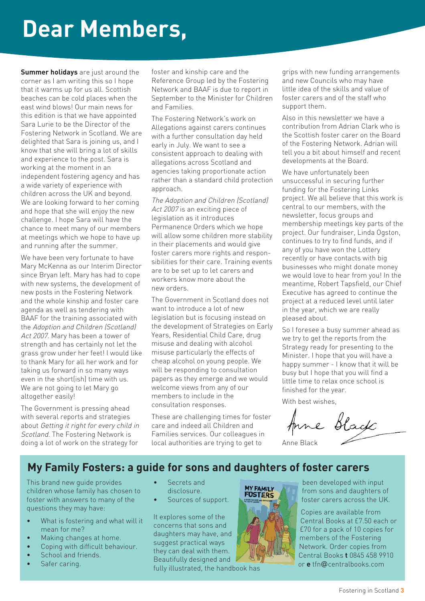# **Dear Members,**

**Summer holidays** are just around the corner as I am writing this so I hope that it warms up for us all. Scottish beaches can be cold places when the east wind blows! Our main news for this edition is that we have appointed Sara Lurie to be the Director of the Fostering Network in Scotland. We are delighted that Sara is joining us, and I know that she will bring a lot of skills and experience to the post. Sara is working at the moment in an independent fostering agency and has a wide variety of experience with children across the UK and beyond. We are looking forward to her coming and hope that she will enjoy the new challenge. I hope Sara will have the chance to meet many of our members at meetings which we hope to have up and running after the summer.

We have been very fortunate to have Mary McKenna as our Interim Director since Bryan left. Mary has had to cope with new systems, the development of new posts in the Fostering Network and the whole kinship and foster care agenda as well as tendering with BAAF for the training associated with the Adoption and Children (Scotland) Act 2007. Mary has been a tower of strength and has certainly not let the grass grow under her feet! I would like to thank Mary for all her work and for taking us forward in so many ways even in the short(ish) time with us. We are not going to let Mary go altogether easily!

The Government is pressing ahead with several reports and strategies about Getting it right for every child in Scotland. The Fostering Network is doing a lot of work on the strategy for

foster and kinship care and the Reference Group led by the Fostering Network and BAAF is due to report in September to the Minister for Children and Families.

The Fostering Network's work on Allegations against carers continues with a further consultation day held early in July. We want to see a consistent approach to dealing with allegations across Scotland and agencies taking proportionate action rather than a standard child protection approach.

The Adoption and Children (Scotland) Act 2007 is an exciting piece of legislation as it introduces Permanence Orders which we hope will allow some children more stability in their placements and would give foster carers more rights and responsibilities for their care. Training events are to be set up to let carers and workers know more about the new orders.

The Government in Scotland does not want to introduce a lot of new legislation but is focusing instead on the development of Strategies on Early Years, Residential Child Care, drug misuse and dealing with alcohol misuse particularly the effects of cheap alcohol on young people. We will be responding to consultation papers as they emerge and we would welcome views from any of our members to include in the consultation responses.

These are challenging times for foster care and indeed all Children and Families services. Our colleagues in local authorities are trying to get to

grips with new funding arrangements and new Councils who may have little idea of the skills and value of foster carers and of the staff who support them.

Also in this newsletter we have a contribution from Adrian Clark who is the Scottish foster carer on the Board of the Fostering Network. Adrian will tell you a bit about himself and recent developments at the Board.

We have unfortunately been unsuccessful in securing further funding for the Fostering Links project. We all believe that this work is central to our members, with the newsletter, focus groups and membership meetings key parts of the project. Our fundraiser, Linda Ogston, continues to try to find funds, and if any of you have won the Lottery recently or have contacts with big businesses who might donate money we would love to hear from you! In the meantime, Robert Tapsfield, our Chief Executive has agreed to continue the project at a reduced level until later in the year, which we are really pleased about.

So I foresee a busy summer ahead as we try to get the reports from the Strategy ready for presenting to the Minister. I hope that you will have a happy summer - I know that it will be busy but I hope that you will find a little time to relax once school is finished for the year.

With best wishes,

Anne Black

#### **My Family Fosters: a guide for sons and daughters of foster carers**

This brand new guide provides children whose family has chosen to foster with answers to many of the questions they may have:

- What is fostering and what will it mean for me?
- Making changes at home.
- Coping with difficult behaviour.
- School and friends.
- Safer caring.
- Secrets and disclosure.
- Sources of support.

It explores some of the concerns that sons and daughters may have, and suggest practical ways they can deal with them. Beautifully designed and

fully illustrated, the handbook has



been developed with input from sons and daughters of foster carers across the UK.

Copies are available from Central Books at £7.50 each or £70 for a pack of 10 copies for members of the Fostering Network. Order copies from Central Books **t** 0845 458 9910 or **e** tfn@centralbooks.com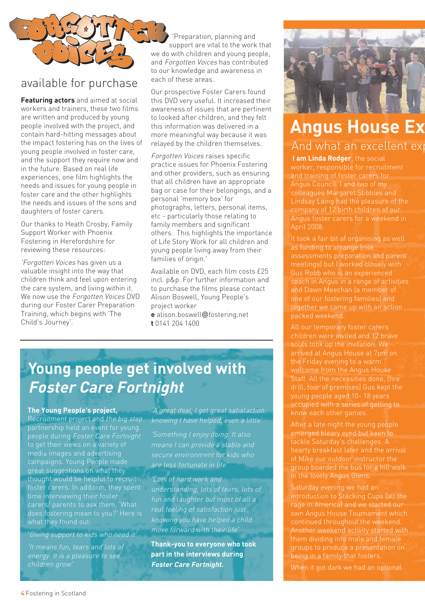

#### available for purchase

**Featuring actors** and aimed at social workers and trainers, these two films are written and produced by young people involved with the project, and contain hard-hitting messages about the impact fostering has on the lives of young people involved in foster care, and the support they require now and in the future. Based on real life experiences, one film highlights the needs and issues for young people in foster care and the other highlights the needs and issues of the sons and daughters of foster carers.

Our thanks to Heath Crosby, Family Support Worker with Phoenix Fostering in Herefordshire for reviewing these resources:

'Forgotten Voices has given us a valuable insight into the way that children think and feel upon entering the care system, and living within it. We now use the Forgotten Voices DVD during our Foster Carer Preparation Training, which begins with 'The Child's Journey'.

'Preparation, planning and support are vital to the work that we do with children and young people, and Forgotten Voices has contributed to our knowledge and awareness in each of these areas.

Our prospective Foster Carers found this DVD very useful. It increased their awareness of issues that are pertinent to looked after children, and they felt this information was delivered in a more meaningful way because it was relayed by the children themselves.

Forgotten Voices raises specific practice issues for Phoenix Fostering and other providers, such as ensuring that all children have an appropriate bag or case for their belongings, and a personal 'memory box' for photographs, letters, personal items, etc - particularly those relating to family members and significant others. This highlights the importance of Life Story Work for all children and young people living away from their families of origin.'

Available on DVD, each film costs £25 incl. p&p. For further information and to purchase the films please contact Alison Boswell, Young People's project worker **e** alison.boswell@fostering.net

**t** 0141 204 1400

## **Young people get involved with Foster Care Fortnight**

#### **The Young People's project,**

Recruitment project and the big step partnership held an event for young people during Foster Care Fortnight to get their views on a variety of media images and advertising campaigns. Young People made great suggestions on what they thought would be helpful to recruit foster carers. In addition, they spent time interviewing their foster carers/ parents to ask them, 'What does fostering mean to you?' Here is what they found out:

'Giving support to kids who need it'

'It means fun, tears and lots of energy. It is a pleasure to see children grow'

'A great deal, I get great satisfaction knowing I have helped, even a little'

'Something I enjoy doing. It also means I can provide a stable and secure environment for kids who are less fortunate in life'

'Lots of hard work and understanding, lots of tears, lots of fun and laughter but most of all a real feeling of satisfaction just knowing you have helped a child move forward with their life'

**Thank-you to everyone who took part in the interviews during Foster Care Fortnight.**



## **Angus House Ex** And what an excellent exp

**I am Linda Rodger**, the social and training of foster carers for colleagues Margaret Stibbles and company of 12 birth children of our Angus foster carers for a weekend in April 2008.

It took a fair bit of organising as well as funding to arrange (risk assessments preparation and parent meetings) but I worked closely with Gus Robb who is an experienced coach in Angus in a range of activities and Dawn Meechan (a member of one of our fostering families) and together we came up with an action

All our temporary foster carers children were invited and 12 brave souls took up the invitation. We welcome from the Angus House drill, tour of premises) Gus kept the occupied with a series of getting to know each other games.

hearty breakfast later and the arrival of Mike our outdoor instructor the group boarded the bus for a hill walk in the lovely Angus Glens.

introduction to Stacking Cups (all the Another weekend activity started with being in a family that fosters.

When it got dark we had an optional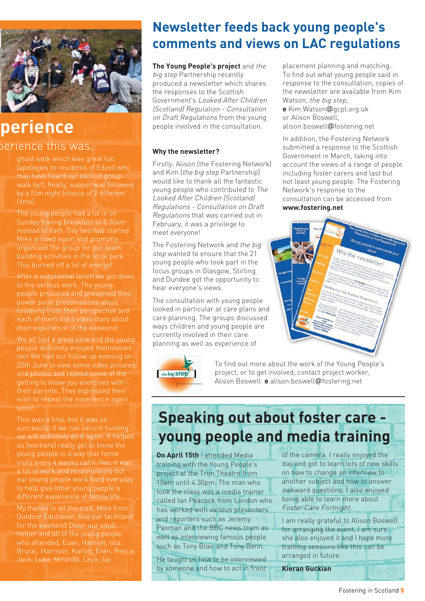

### **perience** perience this was.

may have heard our excited group walk by!), finally, supper was followed films).

The young people had a lie in on Mike arrived again and promptly organised the group for our team building activities in the local park. This burned off a lot of energy!

people produced and presented their power point presentations about fostering from their perspective and each of them did a video diary about their experience of the weekend.

We all had a great time and the young people definitely enjoyed themselves too! We had our follow up evening on 20th June to view some video pictures and photos and relived some of the getting to know you exercises with their parents. They expressed their soon!

This was a first, but it was so successful if we can secure funding we will definitely do it again. It helped visits every 4 weeks can't. Yes, it was a lot of work and responsibility but to help give other young people a

helper and all of the young people who attended, Euan, Hamish, Isla, Bruce, Harrison, Karlyn, Evan, Reece,

## **Newsletter feeds back young people's comments and views on LAC regulations**

**The Young People's project** and the big step Partnership recently produced a newsletter which shares the responses to the Scottish Government's Looked After Children (Scotland) Regulation - Consultation on Draft Regulations from the young people involved in the consultation.

#### **Why the newsletter?**

Firstly, Alison (the Fostering Network) and Kim (the big step Partnership) would like to thank all the fantastic young people who contributed to The Looked After Children (Scotland) Regulations - Consultation on Draft Regulations that was carried out in February, it was a privilege to meet everyone!

The Fostering Network and the big step wanted to ensure that the 21 young people who took part in the focus groups in Glasgow, Stirling and Dundee got the opportunity to hear everyone's views.

The consultation with young people looked in particular at care plans and care planning. The groups discussed ways children and young people are currently involved in their care planning as well as experience of



To find out more about the work of the Young People's project, or to get involved, contact project worker, Alison Boswell **e** alison.boswell@fostering.net

## **Speaking out about foster care young people and media training**

**On April 15th** I attended Media training with the Young People's project at the Tron Theatre from 10am until 4.30pm. The man who took the class was a media trainer called Ian Peacock from London who has worked with various presenters and reporters such as Jeremy Paxman and the BBC news team as well as interviewing famous people such as Tony Blair and Tony Benn.

He taught us how to be interviewed by someone and how to act in front

of the camera. I really enjoyed the day and got to learn lots of new skills on how to change an interview to another subject and how to answer awkward questions. I also enjoyed being able to learn more about Foster Care Fortnight.

I am really grateful to Alison Boswell for arranging the event, I am sure she also enjoyed it and I hope more training sessions like this can be arranged in future.

**Kieran Guckian**

placement planning and matching. To find out what young people said in response to the consultation, copies of the newsletter are available from Kim Watson, the big step.

**e** Kim.Watson@gcpl.org.uk or Alison Boswell, alison.boswell@fostering.net

In addition, the Fostering Network submitted a response to the Scottish Government in March, taking into account the views of a range of people including foster carers and last but not least young people. The Fostering Network's response to the consultation can be accessed from **www.fostering.net**

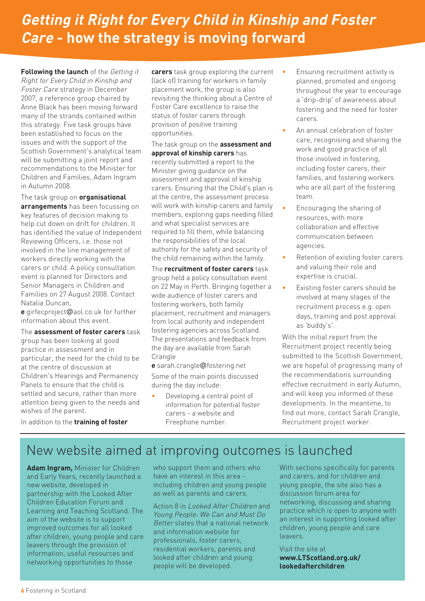## **Getting it Right for Every Child in Kinship and Foster Care - how the strategy is moving forward**

**Following the launch** of the Getting it Right for Every Child in Kinship and Foster Care strategy in December 2007, a reference group chaired by Anne Black has been moving forward many of the strands contained within this strategy. Five task groups have been established to focus on the issues and with the support of the Scottish Government's analytical team will be submitting a joint report and recommendations to the Minister for Children and Families, Adam Ingram in Autumn 2008.

The task group on **organisational arrangements** has been focussing on key features of decision making to help cut down on drift for children. It has identified the value of Independent Reviewing Officers, i.e. those not involved in the line management of workers directly working with the carers or child. A policy consultation event is planned for Directors and Senior Managers in Children and Families on 27 August 2008. Contact Natalia Duncan,

**e** girfecproject@aol.co.uk for further information about this event.

The **assessment of foster carers** task group has been looking at good practice in assessment and in particular, the need for the child to be at the centre of discussion at Children's Hearings and Permanency Panels to ensure that the child is settled and secure, rather than more attention being given to the needs and wishes of the parent.

**carers** task group exploring the current (lack of) training for workers in family placement work, the group is also revisiting the thinking about a Centre of Foster Care excellence to raise the status of foster carers through provision of positive training opportunities.

The task group on the **assessment and approval of kinship carers** has recently submitted a report to the Minister giving guidance on the assessment and approval of kinship carers. Ensuring that the Child's plan is at the centre, the assessment process will work with kinship carers and family members, exploring gaps needing filled and what specialist services are required to fill them, while balancing the responsibilities of the local authority for the safety and security of the child remaining within the family.

The **recruitment of foster carers** task group held a policy consultation event on 22 May in Perth. Bringing together a wide audience of foster carers and fostering workers, both family placement, recruitment and managers from local authority and independent fostering agencies across Scotland. The presentations and feedback from the day are available from Sarah **Crangle** 

**e** sarah.crangle@fostering.net Some of the main points discussed during the day include:

Developing a central point of information for potential foster carers - a website and Freephone number.

- Ensuring recruitment activity is planned, promoted and ongoing throughout the year to encourage a 'drip-drip' of awareness about fostering and the need for foster carers.
- An annual celebration of foster care, recognising and sharing the work and good practice of all those involved in fostering, including foster carers, their families, and fostering workers who are all part of the fostering team.
- Encouraging the sharing of resources, with more collaboration and effective communication between agencies.
- Retention of existing foster carers and valuing their role and expertise is crucial.
- Existing foster carers should be involved at many stages of the recruitment process e.g. open days, training and post approval as 'buddy's'.

With the initial report from the Recruitment project recently being submitted to the Scottish Government, we are hopeful of progressing many of the recommendations surrounding effective recruitment in early Autumn, and will keep you informed of these developments. In the meantime, to find out more, contact Sarah Crangle, Recruitment project worker.

In addition to the **training of foster**

## New website aimed at improving outcomes is launched

**Adam Ingram,** Minister for Children and Early Years, recently launched a new website, developed in partnership with the Looked After Children Education Forum and Learning and Teaching Scotland. The aim of the website is to support improved outcomes for all looked after children, young people and care leavers through the provision of information, useful resources and networking opportunities to those

who support them and others who have an interest in this area including children and young people as well as parents and carers.

Action 8 in Looked After Children and Young People: We Can and Must Do Better states that a national network and information website for professionals, foster carers, residential workers, parents and looked after children and young people will be developed.

With sections specifically for parents and carers, and for children and young people, the site also has a discussion forum area for networking, discussing and sharing practice which is open to anyone with an interest in supporting looked after children, young people and care leavers.

Visit the site at **www.LTScotland.org.uk/ lookedafterchildren**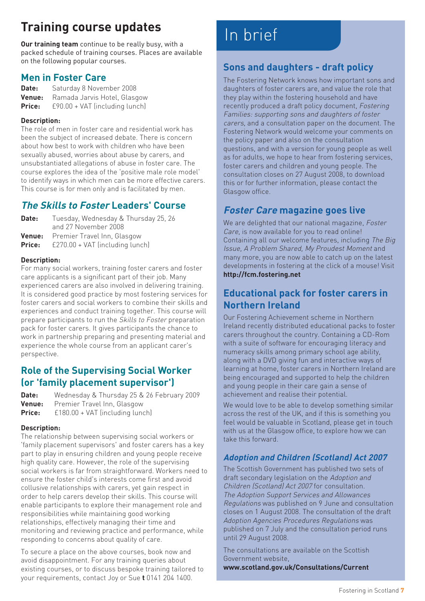## **Training course updates**

**Our training team** continue to be really busy, with a packed schedule of training courses. Places are available on the following popular courses.

#### **Men in Foster Care**

**Date:** Saturday 8 November 2008 **Venue:** Ramada Jarvis Hotel, Glasgow **Price:** £90.00 + VAT (including lunch)

#### **Description:**

The role of men in foster care and residential work has been the subject of increased debate. There is concern about how best to work with children who have been sexually abused, worries about abuse by carers, and unsubstantiated allegations of abuse in foster care. The course explores the idea of the 'positive male role model' to identify ways in which men can be more effective carers. This course is for men only and is facilitated by men.

#### **The Skills to Foster Leaders' Course**

| Date: | Tuesday, Wednesday & Thursday 25, 26          |
|-------|-----------------------------------------------|
|       | and 27 November 2008                          |
|       | <b>Venue:</b> Premier Travel Inn, Glasgow     |
|       | <b>Price:</b> E270.00 + VAT (including lunch) |

#### **Description:**

For many social workers, training foster carers and foster care applicants is a significant part of their job. Many experienced carers are also involved in delivering training. It is considered good practice by most fostering services for foster carers and social workers to combine their skills and experiences and conduct training together. This course will prepare participants to run the Skills to Foster preparation pack for foster carers. It gives participants the chance to work in partnership preparing and presenting material and experience the whole course from an applicant carer's perspective.

#### **Role of the Supervising Social Worker (or 'family placement supervisor')**

| Date:  | Wednesday & Thursday 25 & 26 February 2009 |
|--------|--------------------------------------------|
|        | <b>Venue:</b> Premier Travel Inn, Glasgow  |
| Price: | £180.00 + VAT (including lunch)            |

#### **Description:**

The relationship between supervising social workers or 'family placement supervisors' and foster carers has a key part to play in ensuring children and young people receive high quality care. However, the role of the supervising social workers is far from straightforward. Workers need to ensure the foster child's interests come first and avoid collusive relationships with carers, yet gain respect in order to help carers develop their skills. This course will enable participants to explore their management role and responsibilities while maintaining good working relationships, effectively managing their time and monitoring and reviewing practice and performance, while responding to concerns about quality of care.

To secure a place on the above courses, book now and avoid disappointment. For any training queries about existing courses, or to discuss bespoke training tailored to your requirements, contact Joy or Sue **t** 0141 204 1400.

## In brief

#### **Sons and daughters - draft policy**

The Fostering Network knows how important sons and daughters of foster carers are, and value the role that they play within the fostering household and have recently produced a draft policy document, Fostering Families: supporting sons and daughters of foster carers, and a consultation paper on the document. The Fostering Network would welcome your comments on the policy paper and also on the consultation questions, and with a version for young people as well as for adults, we hope to hear from fostering services, foster carers and children and young people. The consultation closes on 27 August 2008, to download this or for further information, please contact the Glasgow office.

#### **Foster Care magazine goes live**

We are delighted that our national magazine, Foster Care, is now available for you to read online! Containing all our welcome features, including The Big Issue, A Problem Shared, My Proudest Moment and many more, you are now able to catch up on the latest developments in fostering at the click of a mouse! Visit **http://fcm.fostering.net**

#### **Educational pack for foster carers in Northern Ireland**

Our Fostering Achievement scheme in Northern Ireland recently distributed educational packs to foster carers throughout the country. Containing a CD-Rom with a suite of software for encouraging literacy and numeracy skills among primary school age ability, along with a DVD giving fun and interactive ways of learning at home, foster carers in Northern Ireland are being encouraged and supported to help the children and young people in their care gain a sense of achievement and realise their potential.

We would love to be able to develop something similar across the rest of the UK, and if this is something you feel would be valuable in Scotland, please get in touch with us at the Glasgow office, to explore how we can take this forward.

#### **Adoption and Children (Scotland) Act 2007**

The Scottish Government has published two sets of draft secondary legislation on the Adoption and Children (Scotland) Act 2007 for consultation. The Adoption Support Services and Allowances Regulations was published on 9 June and consultation closes on 1 August 2008. The consultation of the draft Adoption Agencies Procedures Regulations was published on 7 July and the consultation period runs until 29 August 2008.

The consultations are available on the Scottish Government website,

**www.scotland.gov.uk/Consultations/Current**